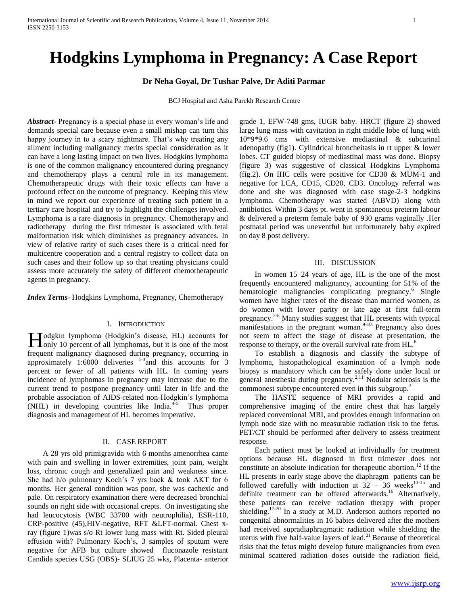# **Hodgkins Lymphoma in Pregnancy: A Case Report**

## **Dr Neha Goyal, Dr Tushar Palve, Dr Aditi Parmar**

BCJ Hospital and Asha Parekh Research Centre

*Abstract***-** Pregnancy is a special phase in every woman's life and demands special care because even a small mishap can turn this happy journey in to a scary nightmare. That's why treating any ailment including malignancy merits special consideration as it can have a long lasting impact on two lives. Hodgkins lymphoma is one of the common malignancy encountered during pregnancy and chemotherapy plays a central role in its management. Chemotherapeutic drugs with their toxic effects can have a profound effect on the outcome of pregnancy. Keeping this view in mind we report our experience of treating such patient in a tertiary care hospital and try to highlight the challenges involved. Lymphoma is a rare diagnosis in pregnancy. Chemotherapy and radiotherapy during the first trimester is associated with fetal malformation risk which diminishes as pregnancy advances. In view of relative rarity of such cases there is a critical need for multicentre cooperation and a central registry to collect data on such cases and their follow up so that treating physicians could assess more accurately the safety of different chemotherapeutic agents in pregnancy.

*Index Terms*- Hodgkins Lymphoma, Pregnancy, Chemotherapy

## I. INTRODUCTION

Todgkin lymphoma (Hodgkin's disease, HL) accounts for **H**odgkin lymphoma (Hodgkin's disease, HL) accounts for only 10 percent of all lymphomas, but it is one of the most frequent malignancy diagnosed during pregnancy, occurring in approximately 1:6000 deliveries  $1-3$  and this accounts for 3 percent or fewer of all patients with HL. In coming years incidence of lymphomas in pregnancy may increase due to the current trend to postpone pregnancy until later in life and the probable association of AIDS-related non-Hodgkin's lymphoma  $(NHL)$  in developing countries like India.<sup>4-5</sup> Thus proper diagnosis and management of HL becomes imperative.

## II. CASE REPORT

 A 28 yrs old primigravida with 6 months amenorrhea came with pain and swelling in lower extremities, joint pain, weight loss, chronic cough and generalized pain and weakness since. She had h/o pulmonary Koch's 7 yrs back & took AKT for 6 months. Her general condition was poor, she was cachexic and pale. On respiratory examination there were decreased bronchial sounds on right side with occasional crepts. On investigating she had leucocytosis (WBC 33700 with neutrophilia), ESR-110, CRP-positive (45),HIV-negative, RFT &LFT-normal. Chest xray (figure 1)was s/o Rt lower lung mass with Rt. Sided pleural effusion with? Pulmonary Koch's, 3 samples of sputum were negative for AFB but culture showed fluconazole resistant Candida species USG (OBS)- SLIUG 25 wks, Placenta- anterior

grade 1, EFW-748 gms, IUGR baby. HRCT (figure 2) showed large lung mass with cavitation in right middle lobe of lung with 10\*9\*9.6 cms with extensive mediastinal & subcarinal adenopathy (fig1). Cylindrical broncheitasis in rt upper & lower lobes. CT guided biopsy of mediastinal mass was done. Biopsy (figure 3) was suggestive of classical Hodgkins Lymphoma (fig.2). On IHC cells were positive for CD30 & MUM-1 and negative for LCA, CD15, CD20, CD3. Oncology referral was done and she was diagnosed with case stage-2-3 hodgkins lymphoma. Chemotherapy was started (ABVD) along with antibiotics. Within 3 days pt. went in spontaneous preterm labour & delivered a preterm female baby of 930 grams vaginally .Her postnatal period was uneventful but unfortunately baby expired on day 8 post delivery.

### III. DISCUSSION

 In women 15–24 years of age, HL is the one of the most frequently encountered malignancy, accounting for 51% of the hematologic malignancies complicating pregnancy.<sup>6</sup> Single women have higher rates of the disease than married women, as do women with lower parity or late age at first full-term pregnancy.<sup>7-8</sup> Many studies suggest that HL presents with typical manifestations in the pregnant woman. $9-10$ . Pregnancy also does not seem to affect the stage of disease at presentation, the response to therapy, or the overall survival rate from HL.<sup>6</sup>

 To establish a diagnosis and classify the subtype of lymphoma, histopathological examination of a lymph node biopsy is mandatory which can be safely done under local or general anesthesia during pregnancy.<sup>2,11</sup> Nodular sclerosis is the commonest subtype encountered even in this subgroup.<sup>2</sup>

 The HASTE sequence of MRI provides a rapid and comprehensive imaging of the entire chest that has largely replaced conventional MRI, and provides enough information on lymph node size with no measurable radiation risk to the fetus. PET/CT should be performed after delivery to assess treatment response.

 Each patient must be looked at individually for treatment options because HL diagnosed in first trimester does not constitute an absolute indication for the rapeutic abortion.<sup>12</sup> If the HL presents in early stage above the diaphragm patients can be followed carefully with induction at  $32 - 36$  weeks<sup>13-15</sup> and definite treatment can be offered afterwards.<sup>16</sup> Alternatively, these patients can receive radiation therapy with proper shielding.<sup>17-20</sup> In a study at M.D. Anderson authors reported no congenital abnormalities in 16 babies delivered after the mothers had received supradiaphragmatic radiation while shielding the uterus with five half-value layers of lead.<sup>21</sup> Because of theoretical risks that the fetus might develop future malignancies from even minimal scattered radiation doses outside the radiation field,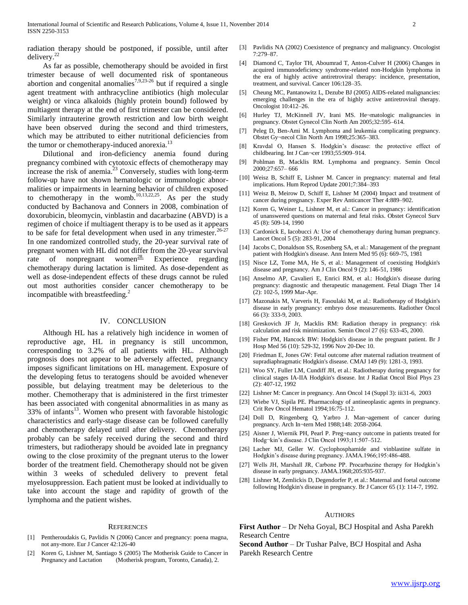radiation therapy should be postponed, if possible, until after delivery. $^{22}$ 

 As far as possible, chemotherapy should be avoided in first trimester because of well documented risk of spontaneous abortion and congenital anomalies<sup>7,9,23-26</sup> but if required a single agent treatment with anthracycline antibiotics (high molecular weight) or vinca alkaloids (highly protein bound) followed by multiagent therapy at the end of first trimester can be considered. Similarly intrauterine growth restriction and low birth weight have been observed during the second and third trimesters, which may be attributed to either nutritional deficiencies from the tumor or chemotherapy-induced anorexia.<sup>13</sup>

 Dilutional and iron-deficiency anemia found during pregnancy combined with cytotoxic effects of chemotherapy may increase the risk of anemia.<sup>23</sup> Conversely, studies with long-term follow-up have not shown hematologic or immunologic abnormalities or impairments in learning behavior of children exposed to chemotherapy in the womb.<sup>10,13,22,25</sup>. As per the study conducted by Bachanova and Conners in 2008, combination of doxorubicin, bleomycin, vinblastin and dacarbazine (ABVD) is a regimen of choice if multiagent therapy is to be used as it appears to be safe for fetal development when used in any trimester.<sup>26-27</sup> In one randomized controlled study, the 20-year survival rate of pregnant women with HL did not differ from the 20-year survival rate of nonpregnant women<sup>28</sup>. Experience regarding chemotherapy during lactation is limited. As dose-dependent as well as dose-independent effects of these drugs cannot be ruled out most authorities consider cancer chemotherapy to be incompatible with breastfeeding.<sup>2</sup>

## IV. CONCLUSION

 Although HL has a relatively high incidence in women of reproductive age, HL in pregnancy is still uncommon, corresponding to 3.2% of all patients with HL. Although prognosis does not appear to be adversely affected, pregnancy imposes significant limitations on HL management. Exposure of the developing fetus to teratogens should be avoided whenever possible, but delaying treatment may be deleterious to the mother. Chemotherapy that is administered in the first trimester has been associated with congenital abnormalities in as many as 33% of infants<sup>13</sup>. Women who present with favorable histologic characteristics and early-stage disease can be followed carefully and chemotherapy delayed until after delivery. Chemotherapy probably can be safely received during the second and third trimesters, but radiotherapy should be avoided late in pregnancy owing to the close proximity of the pregnant uterus to the lower border of the treatment field. Chemotherapy should not be given within 3 weeks of scheduled delivery to prevent fetal myelosuppression. Each patient must be looked at individually to take into account the stage and rapidity of growth of the lymphoma and the patient wishes.

#### REFERENCES

- [1] Pentheroudakis G, Pavlidis N (2006) Cancer and pregnancy: poena magna, not any-more. Eur J Cancer 42:126-40
- [2] Koren G, Lishner M, Santiago S (2005) The Motherisk Guide to Cancer in Pregnancy and Lactation (Motherisk program, Toronto, Canada), 2.
- [3] Pavlidis NA (2002) Coexistence of pregnancy and malignancy. Oncologist 7:279–87.
- [4] Diamond C, Taylor TH, Aboumrad T, Anton-Culver H (2006) Changes in acquired immunodeficiency syndrome-related non-Hodgkin lymphoma in the era of highly active antiretroviral therapy: incidence, presentation, treatment, and survival. Cancer 106:128–35.
- [5] Cheung MC, Pantanowitz L, Dezube BJ (2005) AIDS-related malignancies: emerging challenges in the era of highly active antiretroviral therapy. Oncologist 10:412–26.
- [6] Hurley TJ, McKinnell JV, Irani MS. He¬matologic malignancies in pregnancy. Obstet Gynecol Clin North Am 2005;32:595–614.
- [7] Peleg D, Ben-Ami M. Lymphoma and leukemia complicating pregnancy. Obstet Gy¬necol Clin North Am 1998;25:365–383.
- [8] Kravdal O, Hansen S. Hodgkin's disease: the protective effect of childbearing. Int J Can¬cer 1993;55:909–914.
- [9] Pohlman B, Macklis RM. Lymphoma and pregnancy. Semin Oncol 2000;27:657– 666
- [10] Weisz B, Schiff E, Lishner M. Cancer in pregnancy: maternal and fetal implications. Hum Reprod Update 2001;7:384–393
- [11] Weisz B, Meirow D, Schiff E, Lishner M (2004) Impact and treatment of cancer during pregnancy. Exper Rev Anticancer Ther 4:889–902.
- [12] Koren G, Weiner L, Lishner M, et al.: Cancer in pregnancy: identification of unanswered questions on maternal and fetal risks. Obstet Gynecol Surv 45 (8): 509-14, 1990
- [13] Cardonick E, Iacobucci A: Use of chemotherapy during human pregnancy. Lancet Oncol 5 (5): 283-91, 2004
- [14] Jacobs C, Donaldson SS, Rosenberg SA, et al.: Management of the pregnant patient with Hodgkin's disease. Ann Intern Med 95 (6): 669-75, 1981
- [15] Nisce LZ, Tome MA, He S, et al.: Management of coexisting Hodgkin's disease and pregnancy. Am J Clin Oncol 9 (2): 146-51, 1986
- [16] Anselmo AP, Cavalieri E, Enrici RM, et al.: Hodgkin's disease during pregnancy: diagnostic and therapeutic management. Fetal Diagn Ther 14 (2): 102-5, 1999 Mar-Apr.
- [17] Mazonakis M, Varveris H, Fasoulaki M, et al.: Radiotherapy of Hodgkin's disease in early pregnancy: embryo dose measurements. Radiother Oncol 66 (3): 333-9, 2003.
- [18] Greskovich JF Jr, Macklis RM: Radiation therapy in pregnancy: risk calculation and risk minimization. Semin Oncol 27 (6): 633-45, 2000.
- [19] Fisher PM, Hancock BW: Hodgkin's disease in the pregnant patient. Br J Hosp Med 56 (10): 529-32, 1996 Nov 20-Dec 10.
- [20] Friedman E, Jones GW: Fetal outcome after maternal radiation treatment of supradiaphragmatic Hodgkin's disease. CMAJ 149 (9): 1281-3, 1993.
- [21] Woo SY, Fuller LM, Cundiff JH, et al.: Radiotherapy during pregnancy for clinical stages IA-IIA Hodgkin's disease. Int J Radiat Oncol Biol Phys 23 (2): 407-12, 1992
- [22] Lishner M: Cancer in pregnancy. Ann Oncol 14 (Suppl 3): iii31-6, 2003
- [23] Wiebe VJ, Sipila PE. Pharmacology of antineoplastic agents in pregnancy. Crit Rev Oncol Hematol 1994;16:75-112.
- [24] Doll D, Ringenberg Q, Yarbro J. Man¬agement of cancer during pregnancy. Arch In¬tern Med 1988;148: 2058-2064.
- [25] Aisner J, Wiernik PH, Pearl P. Preg-nancy outcome in patients treated for Hodg¬kin's disease. J Clin Oncol 1993;11:507–512.
- [26] Lacher MJ, Geller W. Cyclophosphamide and vinblastine sulfate in Hodgkin's disease during pregnancy. JAMA.1966;195:486-488.
- [27] Wells JH, Marshall JR, Carbone PP. Procarbazine therapy for Hodgkin's disease in early pregnancy. JAMA.1968;205:935-937.
- [28] Lishner M, Zemlickis D, Degendorfer P, et al.: Maternal and foetal outcome following Hodgkin's disease in pregnancy. Br J Cancer 65 (1): 114-7, 1992.

#### **AUTHORS**

**First Author** – Dr Neha Goyal, BCJ Hospital and Asha Parekh Research Centre

**Second Author** – Dr Tushar Palve, BCJ Hospital and Asha Parekh Research Centre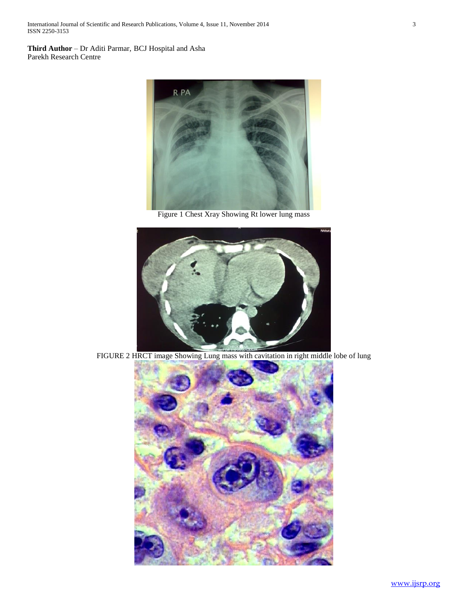**Third Author** – Dr Aditi Parmar, BCJ Hospital and Asha Parekh Research Centre



Figure 1 Chest Xray Showing Rt lower lung mass



FIGURE 2 HRCT image Showing Lung mass with cavitation in right middle lobe of lung